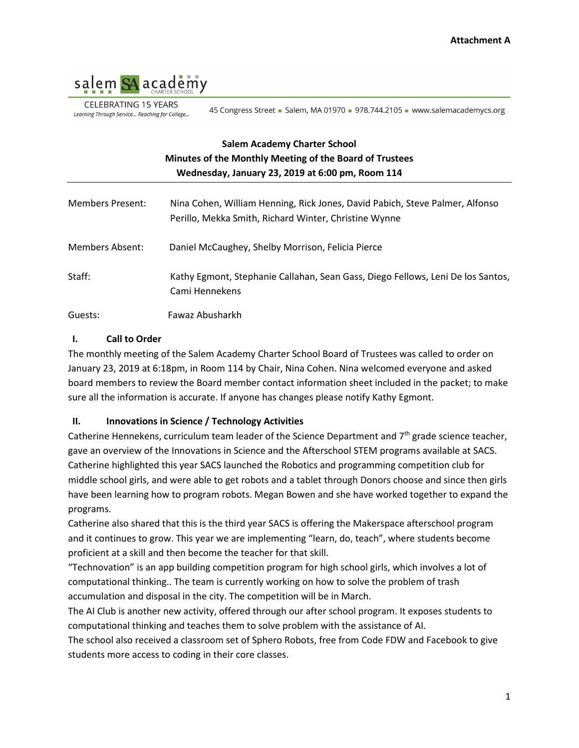

**CELEBRATING 15 YEARS** Learning Through Service... Reaching for College...

45 Congress Street - Salem, MA 01970 - 978.744.2105 - www.salemacademycs.org

# **Salem Academy Charter School Minutes of the Monthly Meeting of the Board of Trustees Wednesday, January 23, 2019 at 6:00 pm, Room 114**

| Members Present: | Nina Cohen, William Henning, Rick Jones, David Pabich, Steve Palmer, Alfonso<br>Perillo, Mekka Smith, Richard Winter, Christine Wynne |
|------------------|---------------------------------------------------------------------------------------------------------------------------------------|
| Members Absent:  | Daniel McCaughey, Shelby Morrison, Felicia Pierce                                                                                     |
| Staff:           | Kathy Egmont, Stephanie Callahan, Sean Gass, Diego Fellows, Leni De los Santos,<br>Cami Hennekens                                     |
| Guests:          | Fawaz Abusharkh                                                                                                                       |

#### **I. Call to Order**

The monthly meeting of the Salem Academy Charter School Board of Trustees was called to order on January 23, 2019 at 6:18pm, in Room 114 by Chair, Nina Cohen. Nina welcomed everyone and asked board members to review the Board member contact information sheet included in the packet; to make sure all the information is accurate. If anyone has changes please notify Kathy Egmont.

# **II. Innovations in Science / Technology Activities**

Catherine Hennekens, curriculum team leader of the Science Department and  $7<sup>th</sup>$  grade science teacher, gave an overview of the Innovations in Science and the Afterschool STEM programs available at SACS. Catherine highlighted this year SACS launched the Robotics and programming competition club for middle school girls, and were able to get robots and a tablet through Donors choose and since then girls have been learning how to program robots. Megan Bowen and she have worked together to expand the programs.

Catherine also shared that this is the third year SACS is offering the Makerspace afterschool program and it continues to grow. This year we are implementing "learn, do, teach", where students become proficient at a skill and then become the teacher for that skill.

"Technovation" is an app building competition program for high school girls, which involves a lot of computational thinking.. The team is currently working on how to solve the problem of trash accumulation and disposal in the city. The competition will be in March.

The AI Club is another new activity, offered through our after school program. It exposes students to computational thinking and teaches them to solve problem with the assistance of AI.

The school also received a classroom set of Sphero Robots, free from Code FDW and Facebook to give students more access to coding in their core classes.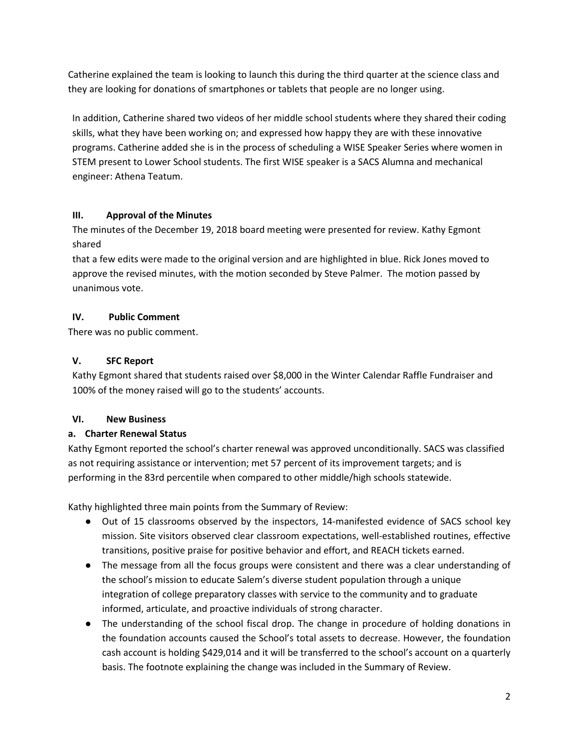Catherine explained the team is looking to launch this during the third quarter at the science class and they are looking for donations of smartphones or tablets that people are no longer using.

In addition, Catherine shared two videos of her middle school students where they shared their coding skills, what they have been working on; and expressed how happy they are with these innovative programs. Catherine added she is in the process of scheduling a WISE Speaker Series where women in STEM present to Lower School students. The first WISE speaker is a SACS Alumna and mechanical engineer: Athena Teatum.

# **III. Approval of the Minutes**

The minutes of the December 19, 2018 board meeting were presented for review. Kathy Egmont shared

that a few edits were made to the original version and are highlighted in blue. Rick Jones moved to approve the revised minutes, with the motion seconded by Steve Palmer. The motion passed by unanimous vote.

# **IV. Public Comment**

There was no public comment.

# **V. SFC Report**

Kathy Egmont shared that students raised over \$8,000 in the Winter Calendar Raffle Fundraiser and 100% of the money raised will go to the students' accounts.

# **VI. New Business**

# **a. Charter Renewal Status**

Kathy Egmont reported the school's charter renewal was approved unconditionally. SACS was classified as not requiring assistance or intervention; met 57 percent of its improvement targets; and is performing in the 83rd percentile when compared to other middle/high schools statewide.

Kathy highlighted three main points from the Summary of Review:

- Out of 15 classrooms observed by the inspectors, 14-manifested evidence of SACS school key mission. Site visitors observed clear classroom expectations, well-established routines, effective transitions, positive praise for positive behavior and effort, and REACH tickets earned.
- The message from all the focus groups were consistent and there was a clear understanding of the school's mission to educate Salem's diverse student population through a unique integration of college preparatory classes with service to the community and to graduate informed, articulate, and proactive individuals of strong character.
- The understanding of the school fiscal drop. The change in procedure of holding donations in the foundation accounts caused the School's total assets to decrease. However, the foundation cash account is holding \$429,014 and it will be transferred to the school's account on a quarterly basis. The footnote explaining the change was included in the Summary of Review.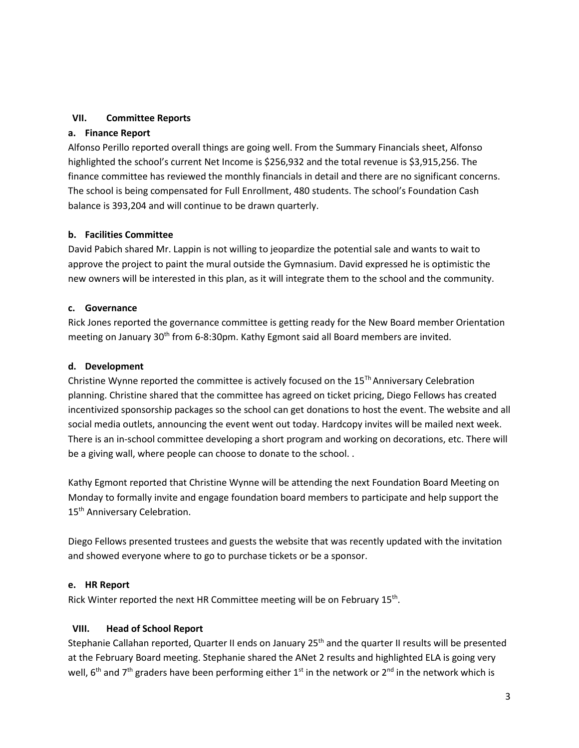#### **VII. Committee Reports**

#### **a. Finance Report**

Alfonso Perillo reported overall things are going well. From the Summary Financials sheet, Alfonso highlighted the school's current Net Income is \$256,932 and the total revenue is \$3,915,256. The finance committee has reviewed the monthly financials in detail and there are no significant concerns. The school is being compensated for Full Enrollment, 480 students. The school's Foundation Cash balance is 393,204 and will continue to be drawn quarterly.

#### **b. Facilities Committee**

David Pabich shared Mr. Lappin is not willing to jeopardize the potential sale and wants to wait to approve the project to paint the mural outside the Gymnasium. David expressed he is optimistic the new owners will be interested in this plan, as it will integrate them to the school and the community.

#### **c. Governance**

Rick Jones reported the governance committee is getting ready for the New Board member Orientation meeting on January  $30<sup>th</sup>$  from 6-8:30pm. Kathy Egmont said all Board members are invited.

#### **d. Development**

Christine Wynne reported the committee is actively focused on the  $15<sup>Th</sup>$  Anniversary Celebration planning. Christine shared that the committee has agreed on ticket pricing, Diego Fellows has created incentivized sponsorship packages so the school can get donations to host the event. The website and all social media outlets, announcing the event went out today. Hardcopy invites will be mailed next week. There is an in-school committee developing a short program and working on decorations, etc. There will be a giving wall, where people can choose to donate to the school. .

Kathy Egmont reported that Christine Wynne will be attending the next Foundation Board Meeting on Monday to formally invite and engage foundation board members to participate and help support the 15<sup>th</sup> Anniversary Celebration.

Diego Fellows presented trustees and guests the website that was recently updated with the invitation and showed everyone where to go to purchase tickets or be a sponsor.

# **e. HR Report**

Rick Winter reported the next HR Committee meeting will be on February 15th.

# **VIII. Head of School Report**

Stephanie Callahan reported, Quarter II ends on January 25<sup>th</sup> and the quarter II results will be presented at the February Board meeting. Stephanie shared the ANet 2 results and highlighted ELA is going very well, 6<sup>th</sup> and 7<sup>th</sup> graders have been performing either 1<sup>st</sup> in the network or 2<sup>nd</sup> in the network which is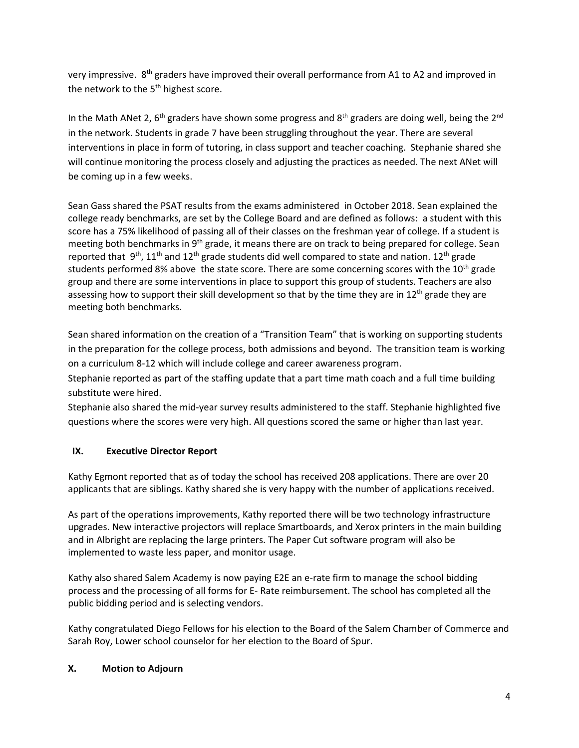very impressive. 8<sup>th</sup> graders have improved their overall performance from A1 to A2 and improved in the network to the 5<sup>th</sup> highest score.

In the Math ANet 2, 6<sup>th</sup> graders have shown some progress and 8<sup>th</sup> graders are doing well, being the 2<sup>nd</sup> in the network. Students in grade 7 have been struggling throughout the year. There are several interventions in place in form of tutoring, in class support and teacher coaching. Stephanie shared she will continue monitoring the process closely and adjusting the practices as needed. The next ANet will be coming up in a few weeks.

Sean Gass shared the PSAT results from the exams administered in October 2018. Sean explained the college ready benchmarks, are set by the College Board and are defined as follows: a student with this score has a 75% likelihood of passing all of their classes on the freshman year of college. If a student is meeting both benchmarks in 9<sup>th</sup> grade, it means there are on track to being prepared for college. Sean reported that 9<sup>th</sup>, 11<sup>th</sup> and 12<sup>th</sup> grade students did well compared to state and nation. 12<sup>th</sup> grade students performed 8% above the state score. There are some concerning scores with the  $10^{th}$  grade group and there are some interventions in place to support this group of students. Teachers are also assessing how to support their skill development so that by the time they are in  $12^{th}$  grade they are meeting both benchmarks.

Sean shared information on the creation of a "Transition Team" that is working on supporting students in the preparation for the college process, both admissions and beyond. The transition team is working on a curriculum 8-12 which will include college and career awareness program.

Stephanie reported as part of the staffing update that a part time math coach and a full time building substitute were hired.

Stephanie also shared the mid-year survey results administered to the staff. Stephanie highlighted five questions where the scores were very high. All questions scored the same or higher than last year.

# **IX. Executive Director Report**

Kathy Egmont reported that as of today the school has received 208 applications. There are over 20 applicants that are siblings. Kathy shared she is very happy with the number of applications received.

As part of the operations improvements, Kathy reported there will be two technology infrastructure upgrades. New interactive projectors will replace Smartboards, and Xerox printers in the main building and in Albright are replacing the large printers. The Paper Cut software program will also be implemented to waste less paper, and monitor usage.

Kathy also shared Salem Academy is now paying E2E an e-rate firm to manage the school bidding process and the processing of all forms for E- Rate reimbursement. The school has completed all the public bidding period and is selecting vendors.

Kathy congratulated Diego Fellows for his election to the Board of the Salem Chamber of Commerce and Sarah Roy, Lower school counselor for her election to the Board of Spur.

# **X. Motion to Adjourn**